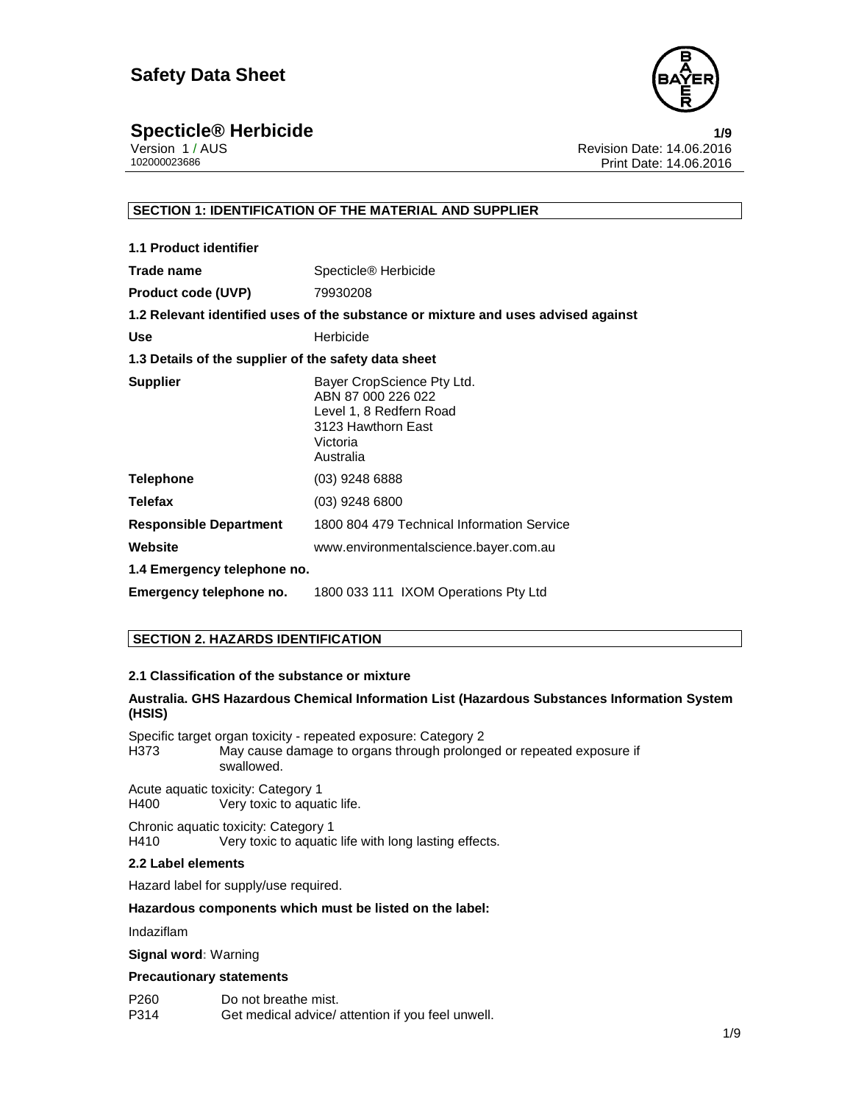

## **Specticle® Herbicide 1/9**

|              | Version 1 / AUS |
|--------------|-----------------|
| 102000023686 |                 |

Revision Date: 14.06.2016 Print Date: 14.06.2016

#### **SECTION 1: IDENTIFICATION OF THE MATERIAL AND SUPPLIER**

| 1.1 Product identifier                               |                                                                                                                            |
|------------------------------------------------------|----------------------------------------------------------------------------------------------------------------------------|
| Trade name                                           | Specticle <sup>®</sup> Herbicide                                                                                           |
| <b>Product code (UVP)</b>                            | 79930208                                                                                                                   |
|                                                      | 1.2 Relevant identified uses of the substance or mixture and uses advised against                                          |
| <b>Use</b>                                           | Herbicide                                                                                                                  |
| 1.3 Details of the supplier of the safety data sheet |                                                                                                                            |
| <b>Supplier</b>                                      | Bayer CropScience Pty Ltd.<br>ABN 87 000 226 022<br>Level 1, 8 Redfern Road<br>3123 Hawthorn East<br>Victoria<br>Australia |
| <b>Telephone</b>                                     | (03) 9248 6888                                                                                                             |
| <b>Telefax</b>                                       | $(03)$ 9248 6800                                                                                                           |
| <b>Responsible Department</b>                        | 1800 804 479 Technical Information Service                                                                                 |
| Website                                              | www.environmentalscience.bayer.com.au                                                                                      |
| 1.4 Emergency telephone no.                          |                                                                                                                            |
| Emergency telephone no.                              | 1800 033 111 IXOM Operations Pty Ltd                                                                                       |

### **SECTION 2. HAZARDS IDENTIFICATION**

#### **2.1 Classification of the substance or mixture**

#### **Australia. GHS Hazardous Chemical Information List (Hazardous Substances Information System (HSIS)**

Specific target organ toxicity - repeated exposure: Category 2 H373 May cause damage to organs through prolonged or repeated exposure if swallowed.

Acute aquatic toxicity: Category 1<br>H400 Very toxic to aqua Very toxic to aquatic life.

Chronic aquatic toxicity: Category 1 H410 Very toxic to aquatic life with long lasting effects.

#### **2.2 Label elements**

Hazard label for supply/use required.

#### **Hazardous components which must be listed on the label:**

Indaziflam

#### **Signal word:** Warning

#### **Precautionary statements**

P260 Do not breathe mist. P314 Get medical advice/ attention if you feel unwell.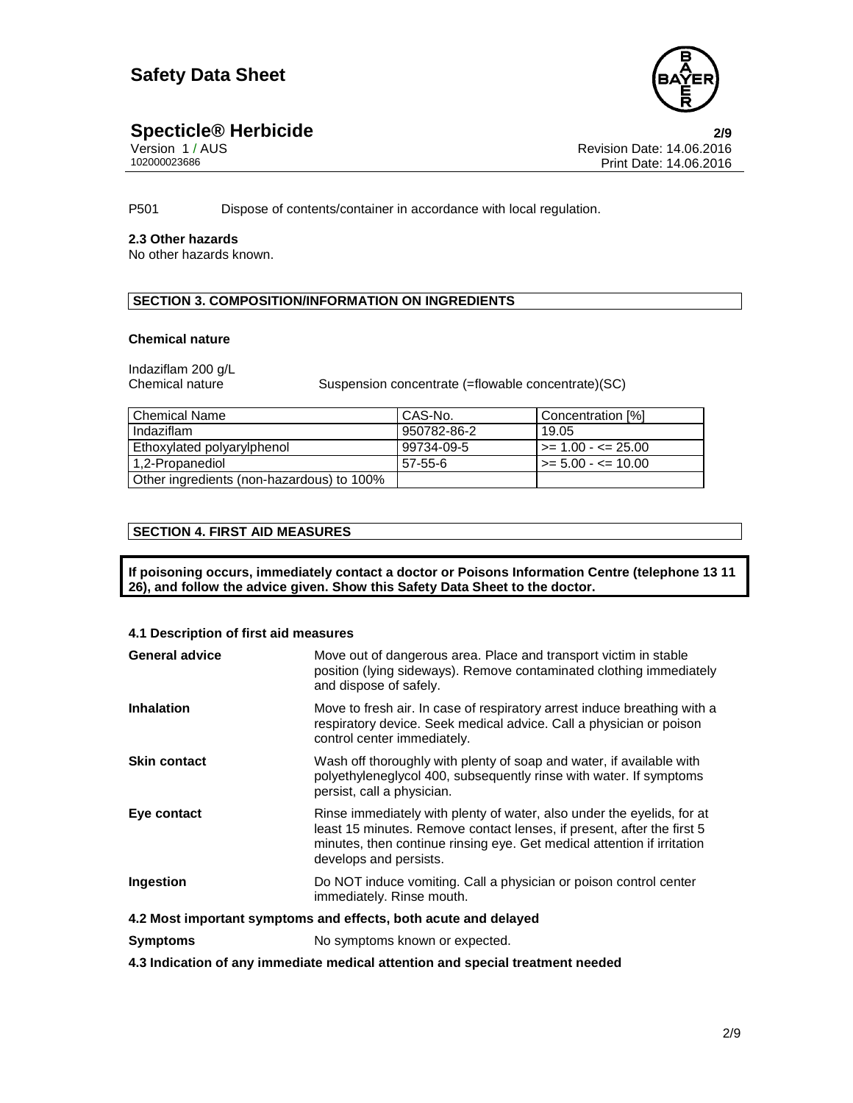

## **Specticle® Herbicide 2/9**

| Version 1/AUS |  |
|---------------|--|
| 102000023686  |  |

Revision Date: 14.06.2016 Print Date: 14.06.2016

P501 Dispose of contents/container in accordance with local regulation.

#### **2.3 Other hazards**

No other hazards known.

### **SECTION 3. COMPOSITION/INFORMATION ON INGREDIENTS**

#### **Chemical nature**

Indaziflam 200 g/L

Suspension concentrate (=flowable concentrate)(SC)

| l Chemical Name                           | CAS-No.     | Concentration [%]                |
|-------------------------------------------|-------------|----------------------------------|
| Indaziflam                                | 950782-86-2 | 19.05                            |
| Ethoxylated polyarylphenol                | 99734-09-5  | l >= 1.00 - <= 25.00             |
| 1,2-Propanediol                           | 57-55-6     | $\Rightarrow$ 5.00 - $\le$ 10.00 |
| Other ingredients (non-hazardous) to 100% |             |                                  |

#### **SECTION 4. FIRST AID MEASURES**

**If poisoning occurs, immediately contact a doctor or Poisons Information Centre (telephone 13 11 26), and follow the advice given. Show this Safety Data Sheet to the doctor.** 

#### **4.1 Description of first aid measures**

| <b>General advice</b>                                                                                         | Move out of dangerous area. Place and transport victim in stable<br>position (lying sideways). Remove contaminated clothing immediately<br>and dispose of safely.                                                                                     |  |
|---------------------------------------------------------------------------------------------------------------|-------------------------------------------------------------------------------------------------------------------------------------------------------------------------------------------------------------------------------------------------------|--|
| <b>Inhalation</b>                                                                                             | Move to fresh air. In case of respiratory arrest induce breathing with a<br>respiratory device. Seek medical advice. Call a physician or poison<br>control center immediately.                                                                        |  |
| <b>Skin contact</b>                                                                                           | Wash off thoroughly with plenty of soap and water, if available with<br>polyethyleneglycol 400, subsequently rinse with water. If symptoms<br>persist, call a physician.                                                                              |  |
| Eye contact                                                                                                   | Rinse immediately with plenty of water, also under the eyelids, for at<br>least 15 minutes. Remove contact lenses, if present, after the first 5<br>minutes, then continue rinsing eye. Get medical attention if irritation<br>develops and persists. |  |
| Ingestion                                                                                                     | Do NOT induce vomiting. Call a physician or poison control center<br>immediately. Rinse mouth.                                                                                                                                                        |  |
| 4.2 Most important symptoms and effects, both acute and delayed                                               |                                                                                                                                                                                                                                                       |  |
| <b>Symptoms</b>                                                                                               | No symptoms known or expected.                                                                                                                                                                                                                        |  |
| . A A la distribución de casa las astrologías de alteral de casa i a segunda estabelecer como a segunda de la |                                                                                                                                                                                                                                                       |  |

**4.3 Indication of any immediate medical attention and special treatment needed**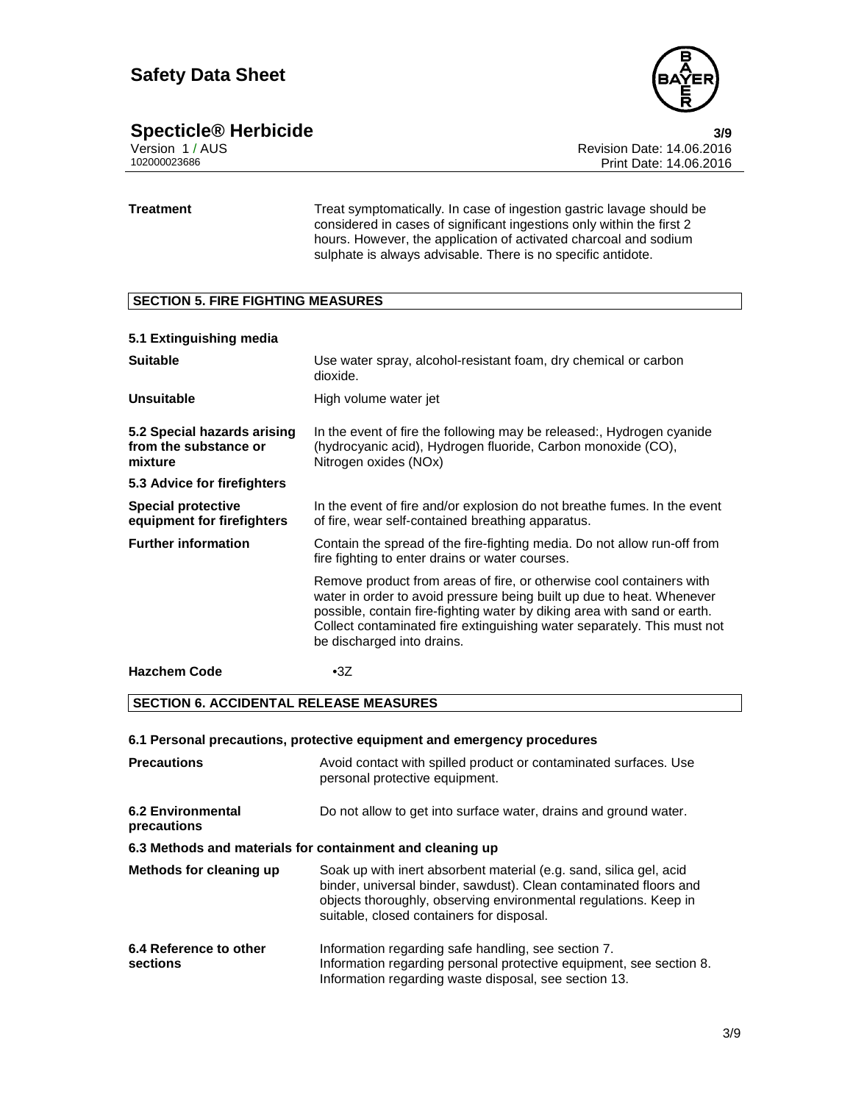

## **Specticle® Herbicide 3/9**

|              | Version 1 / AUS |
|--------------|-----------------|
| 102000023686 |                 |

Revision Date: 14.06.2016 Print Date: 14.06.2016

**Treatment** Treat symptomatically. In case of ingestion gastric lavage should be considered in cases of significant ingestions only within the first 2 hours. However, the application of activated charcoal and sodium sulphate is always advisable. There is no specific antidote.

#### **SECTION 5. FIRE FIGHTING MEASURES**

| 5.1 Extinguishing media                                         |                                                                                                                                                                                                                                                                                                                                    |
|-----------------------------------------------------------------|------------------------------------------------------------------------------------------------------------------------------------------------------------------------------------------------------------------------------------------------------------------------------------------------------------------------------------|
| <b>Suitable</b>                                                 | Use water spray, alcohol-resistant foam, dry chemical or carbon<br>dioxide.                                                                                                                                                                                                                                                        |
| <b>Unsuitable</b>                                               | High volume water jet                                                                                                                                                                                                                                                                                                              |
| 5.2 Special hazards arising<br>from the substance or<br>mixture | In the event of fire the following may be released:, Hydrogen cyanide<br>(hydrocyanic acid), Hydrogen fluoride, Carbon monoxide (CO),<br>Nitrogen oxides (NOx)                                                                                                                                                                     |
| 5.3 Advice for firefighters                                     |                                                                                                                                                                                                                                                                                                                                    |
| Special protective<br>equipment for firefighters                | In the event of fire and/or explosion do not breathe fumes. In the event<br>of fire, wear self-contained breathing apparatus.                                                                                                                                                                                                      |
| <b>Further information</b>                                      | Contain the spread of the fire-fighting media. Do not allow run-off from<br>fire fighting to enter drains or water courses.                                                                                                                                                                                                        |
|                                                                 | Remove product from areas of fire, or otherwise cool containers with<br>water in order to avoid pressure being built up due to heat. Whenever<br>possible, contain fire-fighting water by diking area with sand or earth.<br>Collect contaminated fire extinguishing water separately. This must not<br>be discharged into drains. |
| <b>Hazchem Code</b>                                             | $\cdot 3Z$                                                                                                                                                                                                                                                                                                                         |

#### **SECTION 6. ACCIDENTAL RELEASE MEASURES**

#### **6.1 Personal precautions, protective equipment and emergency procedures**

| <b>Precautions</b>                                        | Avoid contact with spilled product or contaminated surfaces. Use<br>personal protective equipment.                                                                                                                                                       |  |  |
|-----------------------------------------------------------|----------------------------------------------------------------------------------------------------------------------------------------------------------------------------------------------------------------------------------------------------------|--|--|
| 6.2 Environmental<br>precautions                          | Do not allow to get into surface water, drains and ground water.                                                                                                                                                                                         |  |  |
| 6.3 Methods and materials for containment and cleaning up |                                                                                                                                                                                                                                                          |  |  |
| Methods for cleaning up                                   | Soak up with inert absorbent material (e.g. sand, silica gel, acid<br>binder, universal binder, sawdust). Clean contaminated floors and<br>objects thoroughly, observing environmental regulations. Keep in<br>suitable, closed containers for disposal. |  |  |
| 6.4 Reference to other<br>sections                        | Information regarding safe handling, see section 7.<br>Information regarding personal protective equipment, see section 8.<br>Information regarding waste disposal, see section 13.                                                                      |  |  |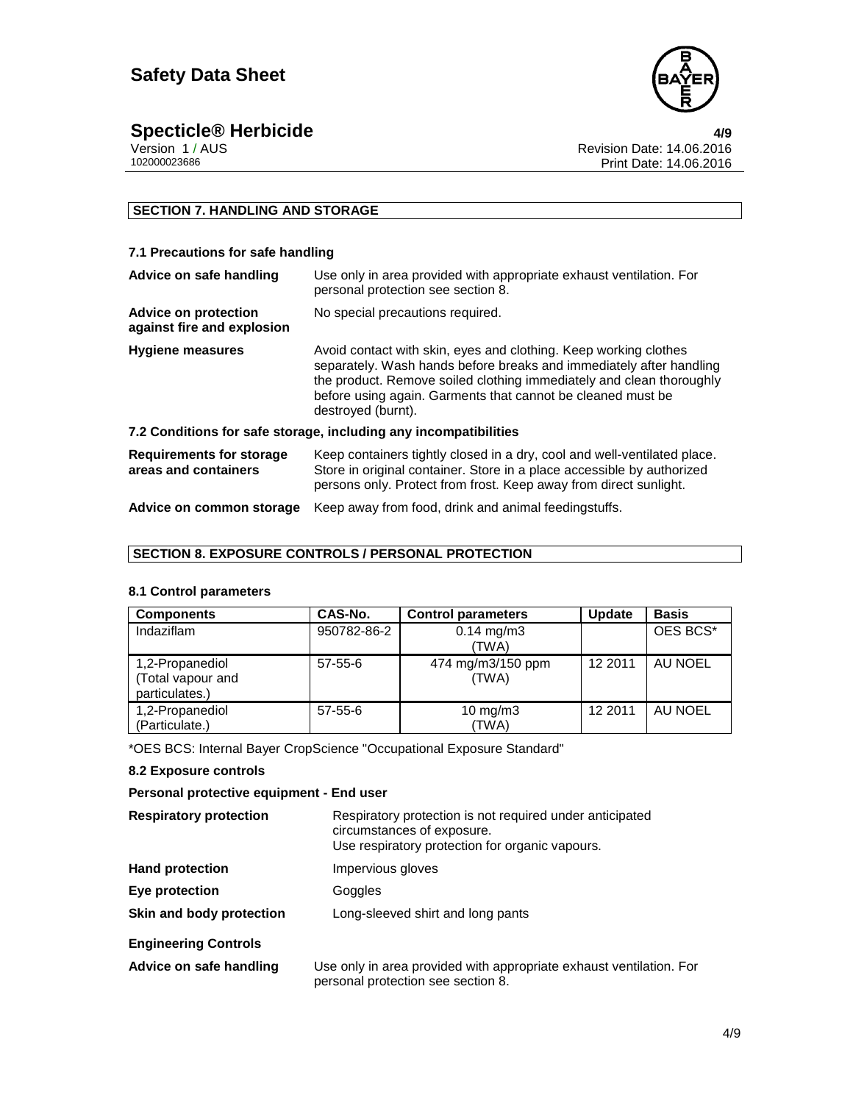

**Specticle® Herbicide 4/9** Version 1 / AUS Revision Date: 14.06.2016 Print Date: 14.06.2016

### **SECTION 7. HANDLING AND STORAGE**

#### **7.1 Precautions for safe handling**

| Advice on safe handling                                          | Use only in area provided with appropriate exhaust ventilation. For<br>personal protection see section 8.                                                                                                                                                                                            |  |
|------------------------------------------------------------------|------------------------------------------------------------------------------------------------------------------------------------------------------------------------------------------------------------------------------------------------------------------------------------------------------|--|
| <b>Advice on protection</b><br>against fire and explosion        | No special precautions required.                                                                                                                                                                                                                                                                     |  |
| <b>Hygiene measures</b>                                          | Avoid contact with skin, eyes and clothing. Keep working clothes<br>separately. Wash hands before breaks and immediately after handling<br>the product. Remove soiled clothing immediately and clean thoroughly<br>before using again. Garments that cannot be cleaned must be<br>destroyed (burnt). |  |
| 7.2 Conditions for safe storage, including any incompatibilities |                                                                                                                                                                                                                                                                                                      |  |
| <b>Requirements for storage</b><br>areas and containers          | Keep containers tightly closed in a dry, cool and well-ventilated place.<br>Store in original container. Store in a place accessible by authorized<br>persons only. Protect from frost. Keep away from direct sunlight.                                                                              |  |
| Advice on common storage                                         | Keep away from food, drink and animal feedingstuffs.                                                                                                                                                                                                                                                 |  |

## **SECTION 8. EXPOSURE CONTROLS / PERSONAL PROTECTION**

#### **8.1 Control parameters**

| <b>Components</b>                                      | CAS-No.     | <b>Control parameters</b>      | <b>Update</b> | <b>Basis</b> |
|--------------------------------------------------------|-------------|--------------------------------|---------------|--------------|
| Indaziflam                                             | 950782-86-2 | $0.14 \text{ mg/m}$ 3<br>(TWA) |               | OES BCS*     |
| 1,2-Propanediol<br>(Total vapour and<br>particulates.) | $57-55-6$   | 474 mg/m3/150 ppm<br>(TWA)     | 12 2011       | AU NOEL      |
| 1,2-Propanediol<br>(Particulate.)                      | $57-55-6$   | 10 mg/m $3$<br>(TWA)           | 12 2011       | AU NOEL      |

\*OES BCS: Internal Bayer CropScience "Occupational Exposure Standard"

#### **8.2 Exposure controls**

#### **Personal protective equipment - End user**

| <b>Respiratory protection</b> | Respiratory protection is not required under anticipated<br>circumstances of exposure.<br>Use respiratory protection for organic vapours. |
|-------------------------------|-------------------------------------------------------------------------------------------------------------------------------------------|
| <b>Hand protection</b>        | Impervious gloves                                                                                                                         |
| Eye protection                | Goggles                                                                                                                                   |
| Skin and body protection      | Long-sleeved shirt and long pants                                                                                                         |
| <b>Engineering Controls</b>   |                                                                                                                                           |
| Advice on safe handling       | Use only in area provided with appropriate exhaust ventilation. For<br>personal protection see section 8.                                 |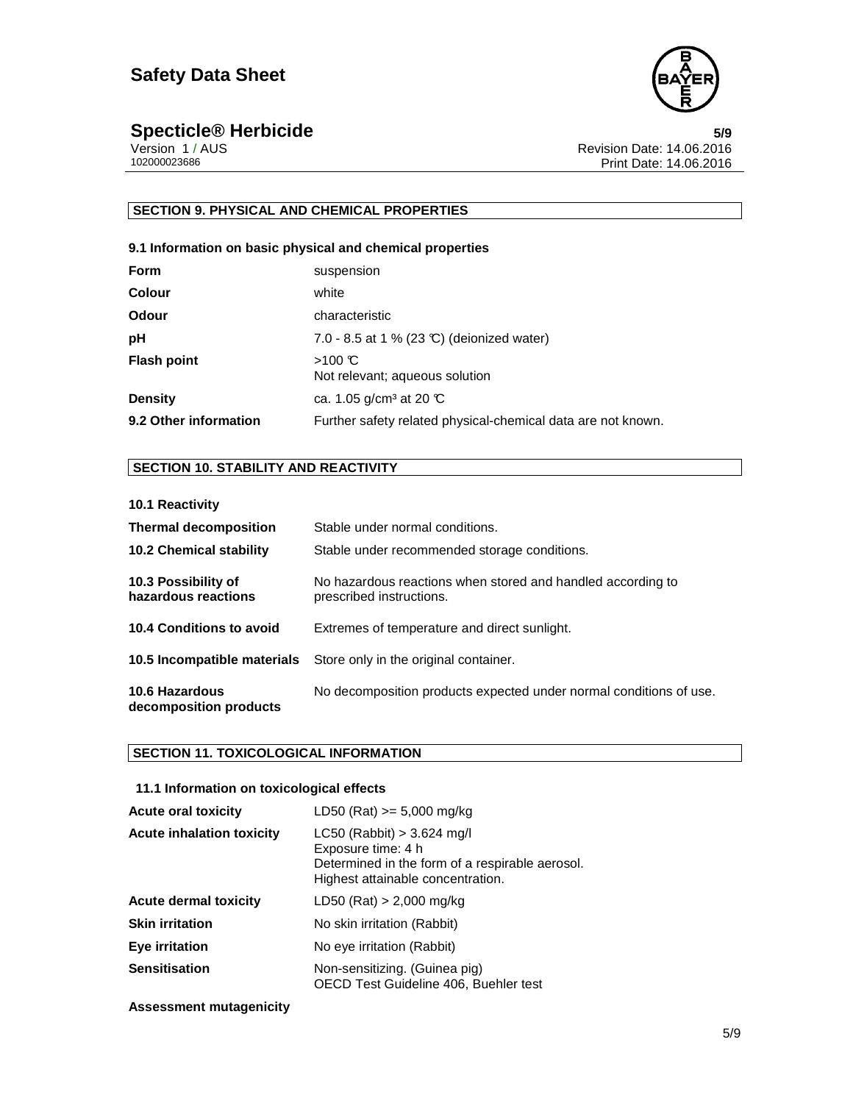

**Specticle® Herbicide**<br>
Version 1/AUS<br> **Specticle® Herbicide 5/9**<br> **Specticle® Herbicide 5/9**<br> **Specticle 5/9** Version 1 / AUS Revision Date: 14.06.2016 Print Date: 14.06.2016

### **SECTION 9. PHYSICAL AND CHEMICAL PROPERTIES**

#### **9.1 Information on basic physical and chemical properties**

| <b>Form</b>           | suspension                                                   |
|-----------------------|--------------------------------------------------------------|
| <b>Colour</b>         | white                                                        |
| Odour                 | characteristic                                               |
| рH                    | 7.0 - 8.5 at 1 % (23 °C) (deionized water)                   |
| <b>Flash point</b>    | $>100 \text{ C}$<br>Not relevant; aqueous solution           |
| <b>Density</b>        | ca. 1.05 g/cm <sup>3</sup> at 20 $\mathbb{C}$                |
| 9.2 Other information | Further safety related physical-chemical data are not known. |

#### **SECTION 10. STABILITY AND REACTIVITY**

#### **10.1 Reactivity**

| <b>Thermal decomposition</b><br><b>10.2 Chemical stability</b> | Stable under normal conditions.<br>Stable under recommended storage conditions.         |
|----------------------------------------------------------------|-----------------------------------------------------------------------------------------|
| 10.3 Possibility of<br>hazardous reactions                     | No hazardous reactions when stored and handled according to<br>prescribed instructions. |
| <b>10.4 Conditions to avoid</b>                                | Extremes of temperature and direct sunlight.                                            |
|                                                                | <b>10.5 Incompatible materials</b> Store only in the original container.                |
| 10.6 Hazardous<br>decomposition products                       | No decomposition products expected under normal conditions of use.                      |

#### **SECTION 11. TOXICOLOGICAL INFORMATION**

#### **11.1 Information on toxicological effects**

| <b>Acute oral toxicity</b>       | LD50 (Rat) $>= 5,000$ mg/kg                                                                                                                |
|----------------------------------|--------------------------------------------------------------------------------------------------------------------------------------------|
| <b>Acute inhalation toxicity</b> | $LC50$ (Rabbit) > 3.624 mg/l<br>Exposure time: 4 h<br>Determined in the form of a respirable aerosol.<br>Highest attainable concentration. |
| <b>Acute dermal toxicity</b>     | LD50 (Rat) $> 2,000$ mg/kg                                                                                                                 |
| <b>Skin irritation</b>           | No skin irritation (Rabbit)                                                                                                                |
| Eye irritation                   | No eye irritation (Rabbit)                                                                                                                 |
| <b>Sensitisation</b>             | Non-sensitizing. (Guinea pig)<br>OECD Test Guideline 406, Buehler test                                                                     |

#### **Assessment mutagenicity**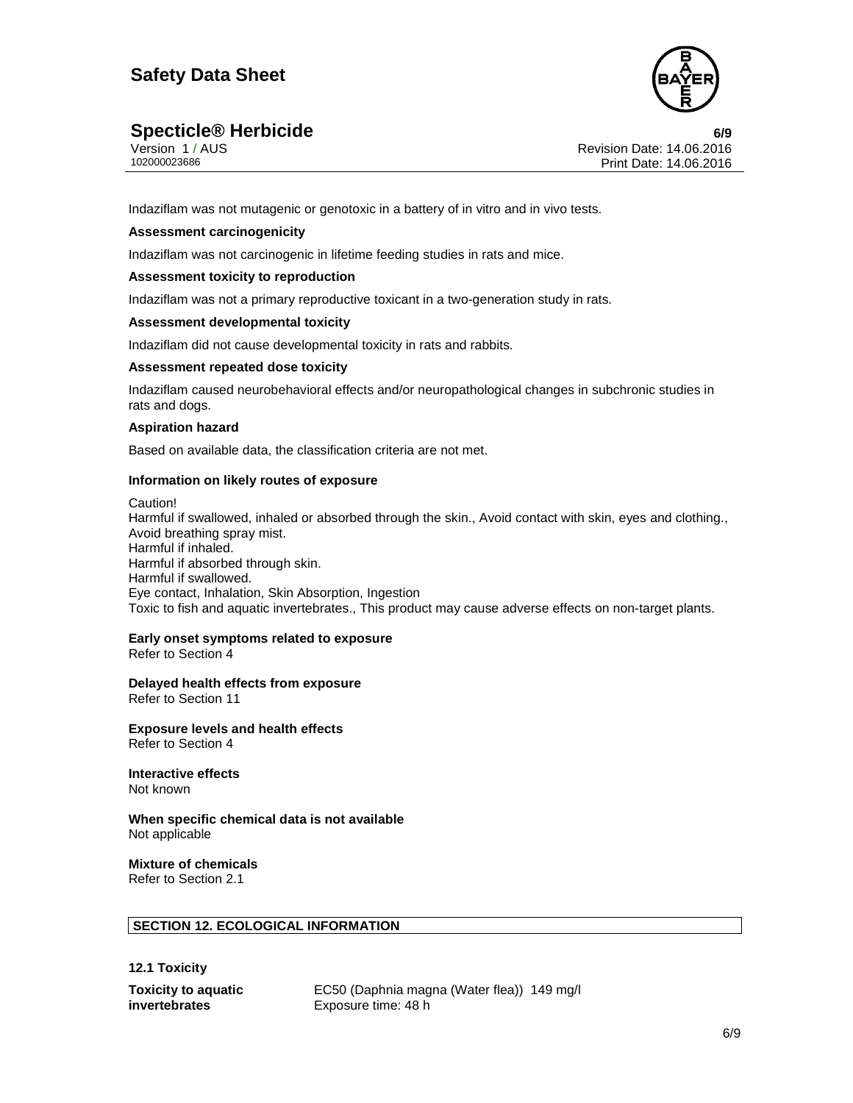

## **Specticle® Herbicide 6/9**

|              | Version 1 / AUS |  |
|--------------|-----------------|--|
| 102000023686 |                 |  |

Revision Date: 14.06.2016 Print Date: 14.06.2016

Indaziflam was not mutagenic or genotoxic in a battery of in vitro and in vivo tests.

#### **Assessment carcinogenicity**

Indaziflam was not carcinogenic in lifetime feeding studies in rats and mice.

#### **Assessment toxicity to reproduction**

Indaziflam was not a primary reproductive toxicant in a two-generation study in rats.

#### **Assessment developmental toxicity**

Indaziflam did not cause developmental toxicity in rats and rabbits.

#### **Assessment repeated dose toxicity**

Indaziflam caused neurobehavioral effects and/or neuropathological changes in subchronic studies in rats and dogs.

#### **Aspiration hazard**

Based on available data, the classification criteria are not met.

#### **Information on likely routes of exposure**

Caution! Harmful if swallowed, inhaled or absorbed through the skin., Avoid contact with skin, eyes and clothing., Avoid breathing spray mist. Harmful if inhaled. Harmful if absorbed through skin. Harmful if swallowed. Eye contact, Inhalation, Skin Absorption, Ingestion Toxic to fish and aquatic invertebrates., This product may cause adverse effects on non-target plants.

#### **Early onset symptoms related to exposure**

Refer to Section 4

**Delayed health effects from exposure** 

Refer to Section 11

**Exposure levels and health effects**  Refer to Section 4

**Interactive effects**  Not known

**When specific chemical data is not available**  Not applicable

## **Mixture of chemicals**

Refer to Section 2.1

#### **SECTION 12. ECOLOGICAL INFORMATION**

**12.1 Toxicity** 

**Toxicity to aquatic invertebrates** 

EC50 (Daphnia magna (Water flea)) 149 mg/l Exposure time: 48 h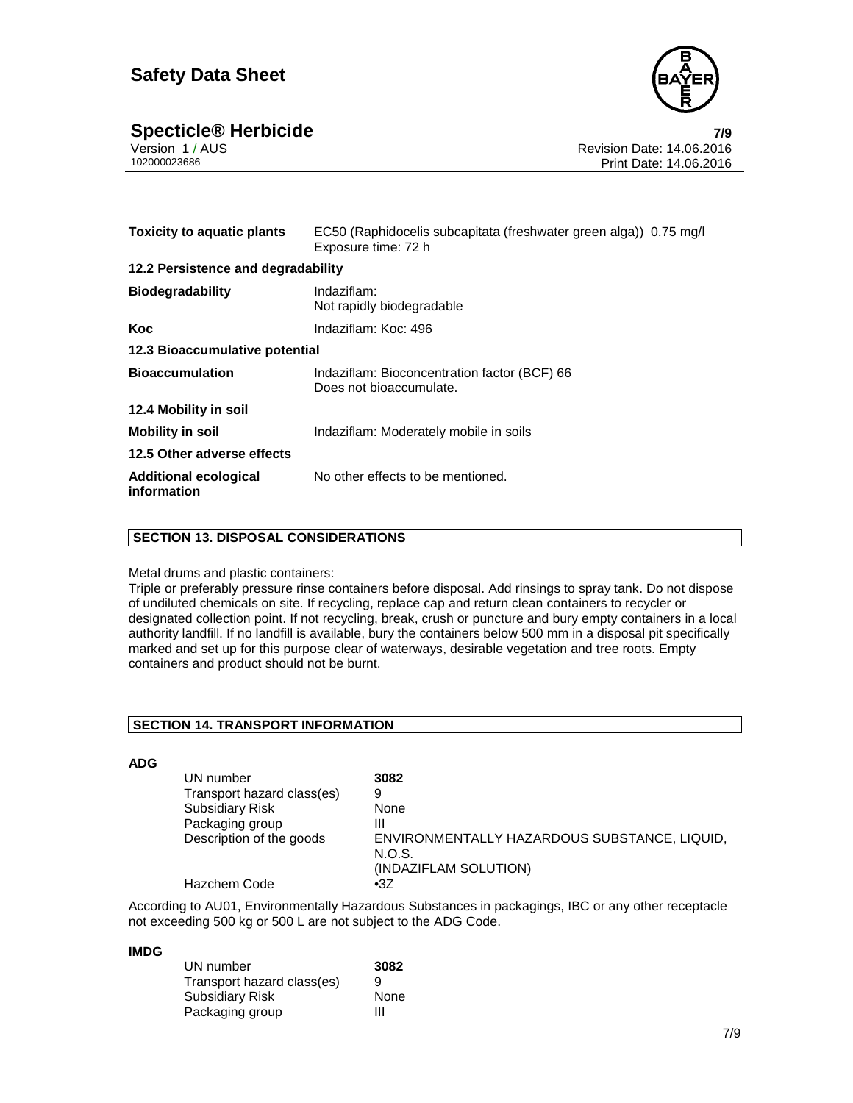

## **Specticle® Herbicide 7/9**

| Version 1 / AUS |  |  |
|-----------------|--|--|
| 102000023686    |  |  |

| <b>Toxicity to aquatic plants</b>           | EC50 (Raphidocelis subcapitata (freshwater green alga)) 0.75 mg/l<br>Exposure time: 72 h |  |
|---------------------------------------------|------------------------------------------------------------------------------------------|--|
| 12.2 Persistence and degradability          |                                                                                          |  |
| <b>Biodegradability</b>                     | Indaziflam:<br>Not rapidly biodegradable                                                 |  |
| Koc                                         | Indaziflam: Koc: 496                                                                     |  |
| 12.3 Bioaccumulative potential              |                                                                                          |  |
| <b>Bioaccumulation</b>                      | Indaziflam: Bioconcentration factor (BCF) 66<br>Does not bioaccumulate.                  |  |
| 12.4 Mobility in soil                       |                                                                                          |  |
| <b>Mobility in soil</b>                     | Indaziflam: Moderately mobile in soils                                                   |  |
| 12.5 Other adverse effects                  |                                                                                          |  |
| <b>Additional ecological</b><br>information | No other effects to be mentioned.                                                        |  |

#### **SECTION 13. DISPOSAL CONSIDERATIONS**

#### Metal drums and plastic containers:

Triple or preferably pressure rinse containers before disposal. Add rinsings to spray tank. Do not dispose of undiluted chemicals on site. If recycling, replace cap and return clean containers to recycler or designated collection point. If not recycling, break, crush or puncture and bury empty containers in a local authority landfill. If no landfill is available, bury the containers below 500 mm in a disposal pit specifically marked and set up for this purpose clear of waterways, desirable vegetation and tree roots. Empty containers and product should not be burnt.

#### **SECTION 14. TRANSPORT INFORMATION**

#### **ADG**

| UN number                  | 3082                                                                            |
|----------------------------|---------------------------------------------------------------------------------|
| Transport hazard class(es) | 9                                                                               |
| <b>Subsidiary Risk</b>     | None                                                                            |
| Packaging group            | Ш                                                                               |
| Description of the goods   | ENVIRONMENTALLY HAZARDOUS SUBSTANCE, LIQUID,<br>N.O.S.<br>(INDAZIFLAM SOLUTION) |
| Hazchem Code               | $\cdot 3Z$                                                                      |

According to AU01, Environmentally Hazardous Substances in packagings, IBC or any other receptacle not exceeding 500 kg or 500 L are not subject to the ADG Code.

#### **IMDG**

| UN number                  | 3082 |
|----------------------------|------|
| Transport hazard class(es) | 9    |
| <b>Subsidiary Risk</b>     | None |
| Packaging group            | ш    |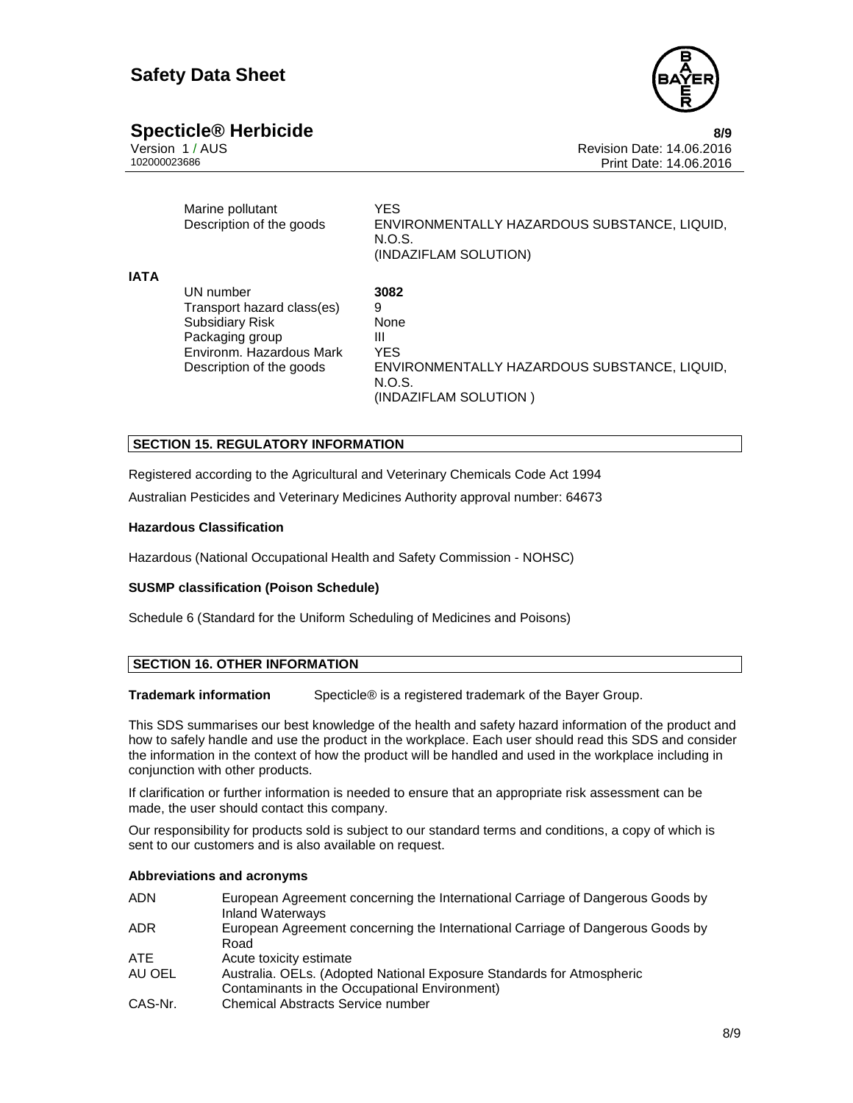

## **Specticle® Herbicide 8/9**

| Version 1/AUS |  |
|---------------|--|
| 102000023686  |  |

Marine pollutant **YES** Description of the goods ENVIRONMENTALLY HAZARDOUS SUBSTANCE, LIQUID, N.O.S. (INDAZIFLAM SOLUTION)

| <b>IATA</b> |                            |                                              |
|-------------|----------------------------|----------------------------------------------|
|             | UN number                  | 3082                                         |
|             | Transport hazard class(es) | 9                                            |
|             | <b>Subsidiary Risk</b>     | None                                         |
|             | Packaging group            | Ш                                            |
|             | Environm. Hazardous Mark   | YES                                          |
|             | Description of the goods   | ENVIRONMENTALLY HAZARDOUS SUBSTANCE, LIQUID, |
|             |                            | N.O.S.                                       |
|             |                            | (INDAZIFLAM SOLUTION)                        |

#### **SECTION 15. REGULATORY INFORMATION**

Registered according to the Agricultural and Veterinary Chemicals Code Act 1994 Australian Pesticides and Veterinary Medicines Authority approval number: 64673

#### **Hazardous Classification**

Hazardous (National Occupational Health and Safety Commission - NOHSC)

#### **SUSMP classification (Poison Schedule)**

Schedule 6 (Standard for the Uniform Scheduling of Medicines and Poisons)

#### **SECTION 16. OTHER INFORMATION**

**Trademark information** Specticle® is a registered trademark of the Bayer Group.

This SDS summarises our best knowledge of the health and safety hazard information of the product and how to safely handle and use the product in the workplace. Each user should read this SDS and consider the information in the context of how the product will be handled and used in the workplace including in conjunction with other products.

If clarification or further information is needed to ensure that an appropriate risk assessment can be made, the user should contact this company.

Our responsibility for products sold is subject to our standard terms and conditions, a copy of which is sent to our customers and is also available on request.

#### **Abbreviations and acronyms**

| <b>ADN</b> | European Agreement concerning the International Carriage of Dangerous Goods by<br>Inland Waterways |
|------------|----------------------------------------------------------------------------------------------------|
| ADR.       | European Agreement concerning the International Carriage of Dangerous Goods by                     |
|            | Road                                                                                               |
| ATE.       | Acute toxicity estimate                                                                            |
| AU OEL     | Australia. OELs. (Adopted National Exposure Standards for Atmospheric                              |
|            | Contaminants in the Occupational Environment)                                                      |
| CAS-Nr.    | Chemical Abstracts Service number                                                                  |